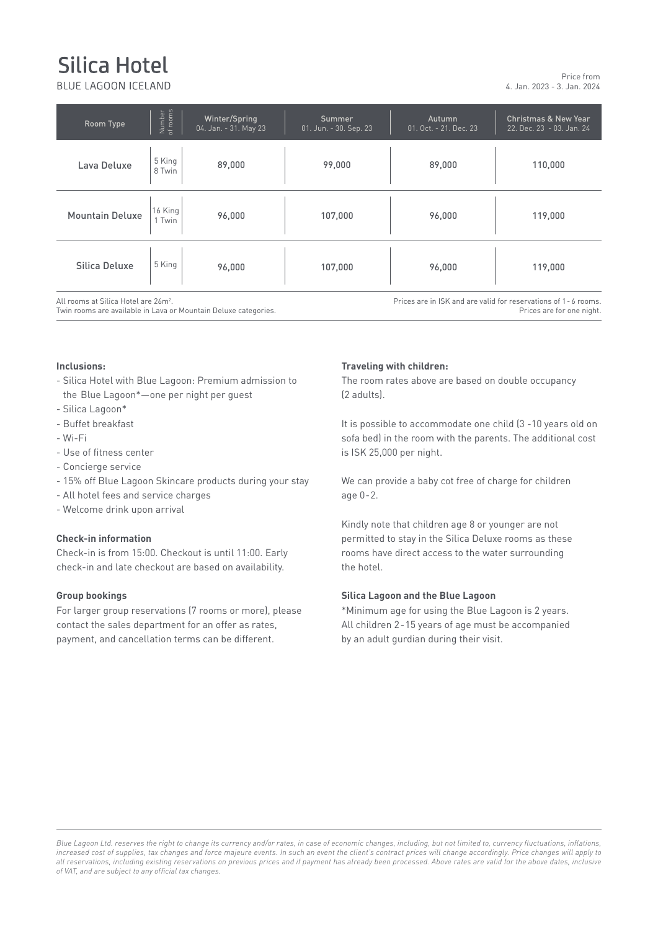# Silica Hotel

BLUE LAGOON ICELAND

4. Jan. 2023 - 3. Jan. 2024 Price from

| Room Type                                                                                                           | Number<br>of rooms | Winter/Spring<br>04. Jan. - 31. May 23 | Summer<br>01. Jun. - 30. Sep. 23 | Autumn<br>01. Oct. - 21. Dec. 23                                                              | <b>Christmas &amp; New Year</b><br>22. Dec. 23 - 03. Jan. 24 |
|---------------------------------------------------------------------------------------------------------------------|--------------------|----------------------------------------|----------------------------------|-----------------------------------------------------------------------------------------------|--------------------------------------------------------------|
| Lava Deluxe                                                                                                         | 5 King<br>8 Twin   | 89,000                                 | 99,000                           | 89,000                                                                                        | 110,000                                                      |
| <b>Mountain Deluxe</b>                                                                                              | 16 King<br>1 Twin  | 96,000                                 | 107,000                          | 96,000                                                                                        | 119,000                                                      |
| Silica Deluxe                                                                                                       | 5 King             | 96,000                                 | 107,000                          | 96,000                                                                                        | 119,000                                                      |
| All rooms at Silica Hotel are 26m <sup>2</sup> .<br>Twin rooms are available in Lava or Mountain Deluxe categories. |                    |                                        |                                  | Prices are in ISK and are valid for reservations of 1 - 6 rooms.<br>Prices are for one night. |                                                              |

# **Inclusions: Inclusions:**

- Silica Hotel with Blue Lagoon: Premium admission to the Blue Lagoon\*—one per night per guest (2 adults).
- Silica Lagoon\*
- Buffet breakfast
- Wi-Fi
- - Use of fitness center
- Concierge service
- 15% off Blue Lagoon Skincare products during your stay
- All hotel fees and service charges
- **Admission to Retreat Spa for Silica hotel guest is ISK 35,000 (offer until 15.06.20).\*** - Welcome drink upon arrival

### **Check-in information**

Check-in is from 15:00. Checkout is until 11:00. Early check-in and late checkout are based on availability. The hotel with the surrounding terrain, or the surrounding term

#### **Group bookings**

**Tax Information**

- For larger group reservations (7 rooms or more), please For targer group reservations (Frooms of more), piease<br>
All children 2-15 years of age must be accompanied<br>
All children 2-15 years of age must be accompanied contact the sales department for an offer as rates, and all children 2-15 years of age must be accompantum of the sales of an offer as rates, payment, and cancellation terms can be different.

#### **Traveling with children:**

The room rates above are based on double occupancy (2 adults).

It is possible to accommodate one child (3 -10 years old on sofa bed) in the room with the parents. The additional cost is ISK 25,000 per night.

We can provide a baby cot free of charge for children age 0-2.

Kindly note that children age 8 or younger are not permitted to stay in the Silica Deluxe rooms as these rooms have direct access to the water surrounding the hotel.

#### **Silica Lagoon and the Blue Lagoon**

\*Minimum age for using the Blue Lagoon is 2 years. by an adult gurdian during their visit.

Blue Lagoon Ltd. reserves the right to change its currency and/or rates, in case of economic changes, including, but not limited to, currency fluctuations, inflations, nicreased cost or supplies, tax changes and force majeure events. In such an event the cuent's contract prices will change accordingly. Price changes will apply to<br>all reservations, including existing reservations on previ of VAT, and are subject to any official tax changes. *increased cost of supplies, tax changes and force majeure events. In such an event the client's contract prices will change accordingly. Price changes will apply to*